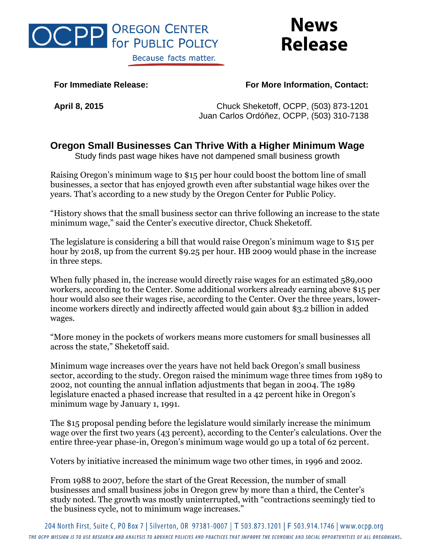

## **News Release**

## **For Immediate Release: For More Information, Contact:**

**April 8, 2015** Chuck Sheketoff, OCPP, (503) 873-1201 Juan Carlos Ordóñez, OCPP, (503) 310-7138

## **Oregon Small Businesses Can Thrive With a Higher Minimum Wage**

Study finds past wage hikes have not dampened small business growth

Raising Oregon's minimum wage to \$15 per hour could boost the bottom line of small businesses, a sector that has enjoyed growth even after substantial wage hikes over the years. That's according to a new study by the Oregon Center for Public Policy.

"History shows that the small business sector can thrive following an increase to the state minimum wage," said the Center's executive director, Chuck Sheketoff.

The legislature is considering a bill that would raise Oregon's minimum wage to \$15 per hour by 2018, up from the current \$9.25 per hour. HB 2009 would phase in the increase in three steps.

When fully phased in, the increase would directly raise wages for an estimated 589,000 workers, according to the Center. Some additional workers already earning above \$15 per hour would also see their wages rise, according to the Center. Over the three years, lowerincome workers directly and indirectly affected would gain about \$3.2 billion in added wages.

"More money in the pockets of workers means more customers for small businesses all across the state," Sheketoff said.

Minimum wage increases over the years have not held back Oregon's small business sector, according to the study. Oregon raised the minimum wage three times from 1989 to 2002, not counting the annual inflation adjustments that began in 2004. The 1989 legislature enacted a phased increase that resulted in a 42 percent hike in Oregon's minimum wage by January 1, 1991.

The \$15 proposal pending before the legislature would similarly increase the minimum wage over the first two years (43 percent), according to the Center's calculations. Over the entire three-year phase-in, Oregon's minimum wage would go up a total of 62 percent.

Voters by initiative increased the minimum wage two other times, in 1996 and 2002.

From 1988 to 2007, before the start of the Great Recession, the number of small businesses and small business jobs in Oregon grew by more than a third, the Center's study noted. The growth was mostly uninterrupted, with "contractions seemingly tied to the business cycle, not to minimum wage increases."